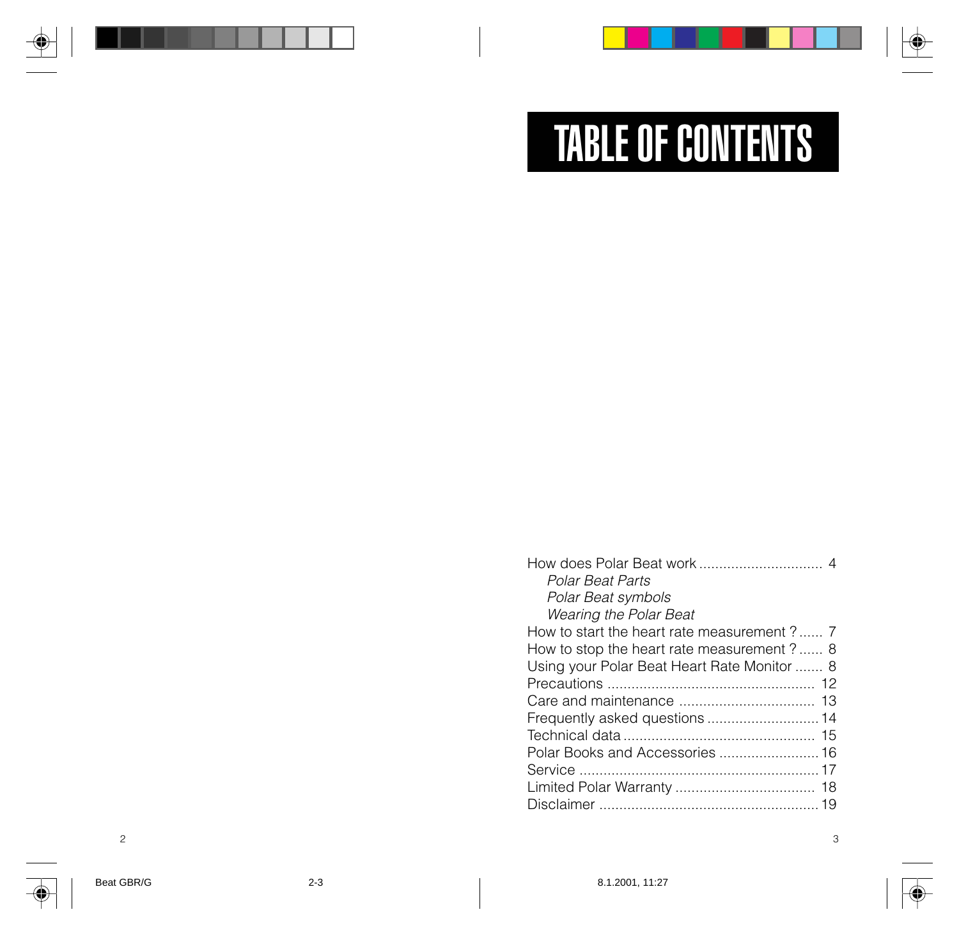# TABLE OF CONTENTS

| Polar Beat Parts                            |
|---------------------------------------------|
| Polar Beat symbols                          |
| <b>Wearing the Polar Beat</b>               |
| How to start the heart rate measurement ? 7 |
| How to stop the heart rate measurement ? 8  |
| Using your Polar Beat Heart Rate Monitor  8 |
|                                             |
|                                             |
|                                             |
|                                             |
| Polar Books and Accessories  16             |
|                                             |
|                                             |
|                                             |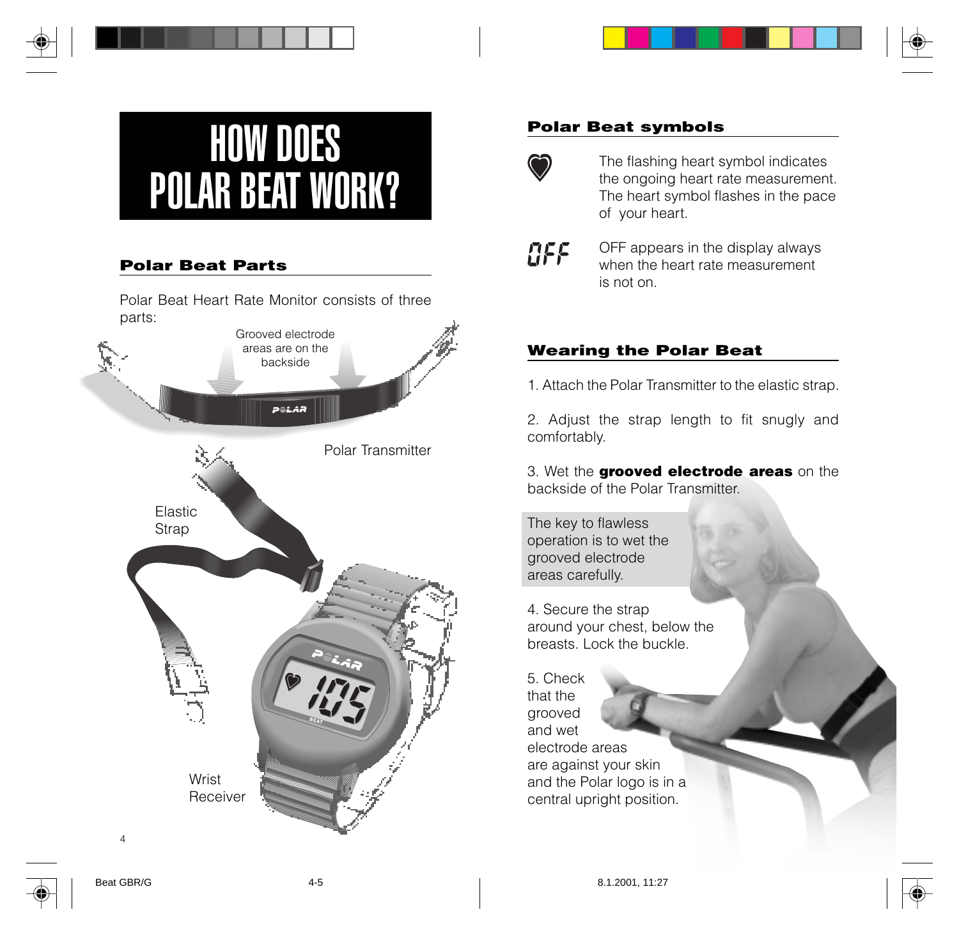# HOW DOES POLAR BEAT WORK?

### **Polar Beat Parts**

Polar Beat Heart Rate Monitor consists of three parts:



#### **Polar Beat symbols**



The flashing heart symbol indicates the ongoing heart rate measurement. The heart symbol flashes in the pace of your heart.



OFF appears in the display always when the heart rate measurement is not on.

### **Wearing the Polar Beat**

1. Attach the Polar Transmitter to the elastic strap.

2. Adjust the strap length to fit snugly and comfortably.

3. Wet the **grooved electrode areas** on the backside of the Polar Transmitter.

The key to flawless operation is to wet the grooved electrode areas carefully.

4. Secure the strap around your chest, below the breasts. Lock the buckle.

5. Check that the grooved and wet electrode areas are against your skin and the Polar logo is in a central upright position.

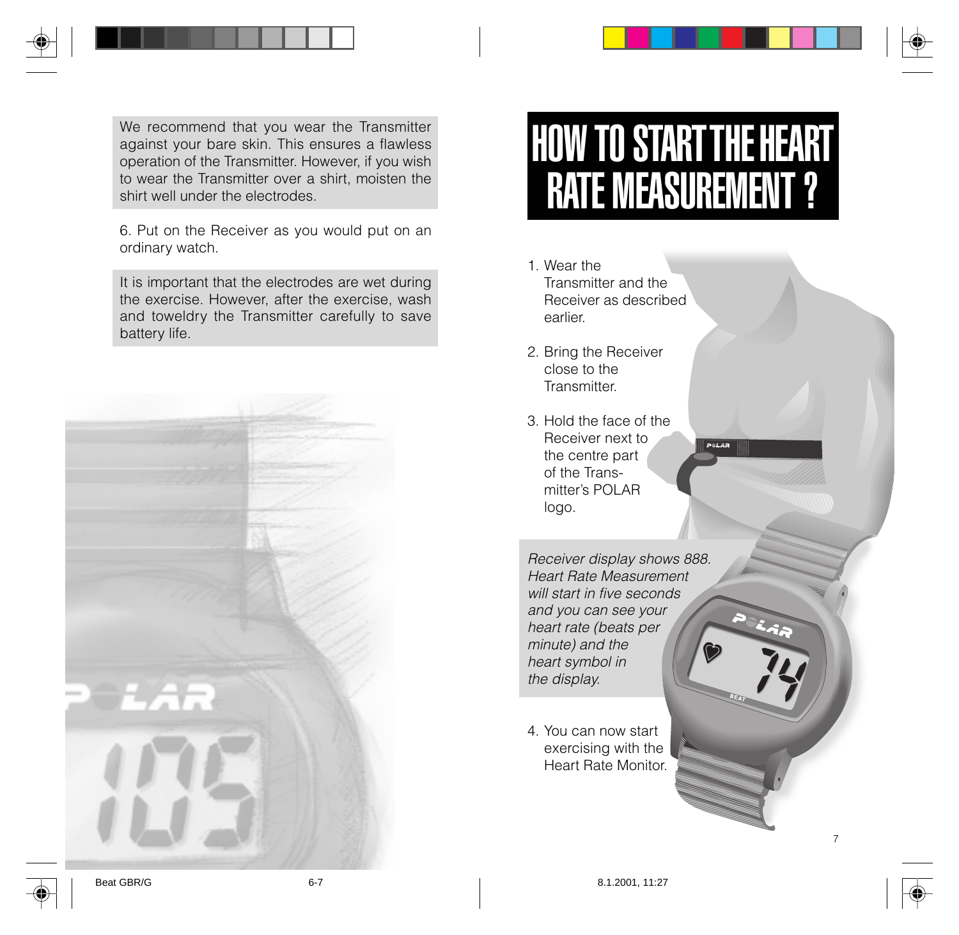We recommend that you wear the Transmitter against your bare skin. This ensures a flawless operation of the Transmitter. However, if you wish to wear the Transmitter over a shirt, moisten the shirt well under the electrodes.

6. Put on the Receiver as you would put on an ordinary watch.

It is important that the electrodes are wet during the exercise. However, after the exercise, wash and toweldry the Transmitter carefully to save battery life.



# HOW TO START THE HEART RATE MEASUREMENT ?

- 1. Wear the Transmitter and the Receiver as described earlier.
- 2. Bring the Receiver close to the **Transmitter**
- 3. Hold the face of the Receiver next to the centre part of the Transmitter's POLAR logo.

Receiver display shows 888. Heart Rate Measurement will start in five seconds and you can see your heart rate (beats per minute) and the heart symbol in the display.

4. You can now start exercising with the Heart Rate Monitor.

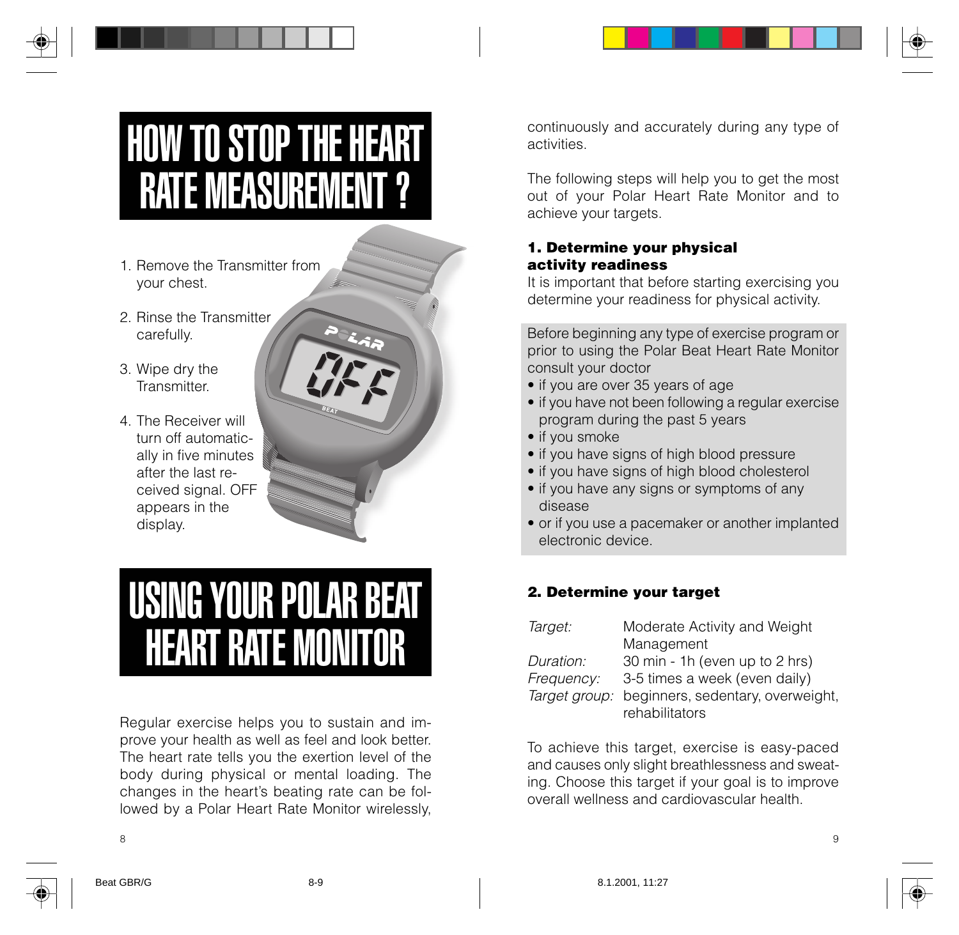# HOW TO STOP THE HEART RATE MEASUREMENT ?

- 1. Remove the Transmitter from your chest.
- 2. Rinse the Transmitter carefully.
- 3. Wipe dry the **Transmitter**
- 4. The Receiver will turn off automatically in five minutes after the last received signal. OFF appears in the display.



### USING YOUR POLAR BEAT HEART RATE MONITOR

Regular exercise helps you to sustain and improve your health as well as feel and look better. The heart rate tells you the exertion level of the body during physical or mental loading. The changes in the heart's beating rate can be followed by a Polar Heart Rate Monitor wirelessly,

continuously and accurately during any type of activities.

The following steps will help you to get the most out of your Polar Heart Rate Monitor and to achieve your targets.

#### **1. Determine your physical activity readiness**

It is important that before starting exercising you determine your readiness for physical activity.

Before beginning any type of exercise program or prior to using the Polar Beat Heart Rate Monitor consult your doctor

- if you are over 35 years of age
- if you have not been following a regular exercise program during the past 5 years
- if you smoke
- if you have signs of high blood pressure
- if you have signs of high blood cholesterol
- if you have any signs or symptoms of any disease
- or if you use a pacemaker or another implanted electronic device.

#### **2. Determine your target**

| Target:    | Moderate Activity and Weight                    |
|------------|-------------------------------------------------|
|            | Management                                      |
| Duration:  | 30 min - 1h (even up to 2 hrs)                  |
| Frequency: | 3-5 times a week (even daily)                   |
|            | Target group: beginners, sedentary, overweight, |
|            | rehabilitators                                  |

To achieve this target, exercise is easy-paced and causes only slight breathlessness and sweating. Choose this target if your goal is to improve overall wellness and cardiovascular health.

8 9



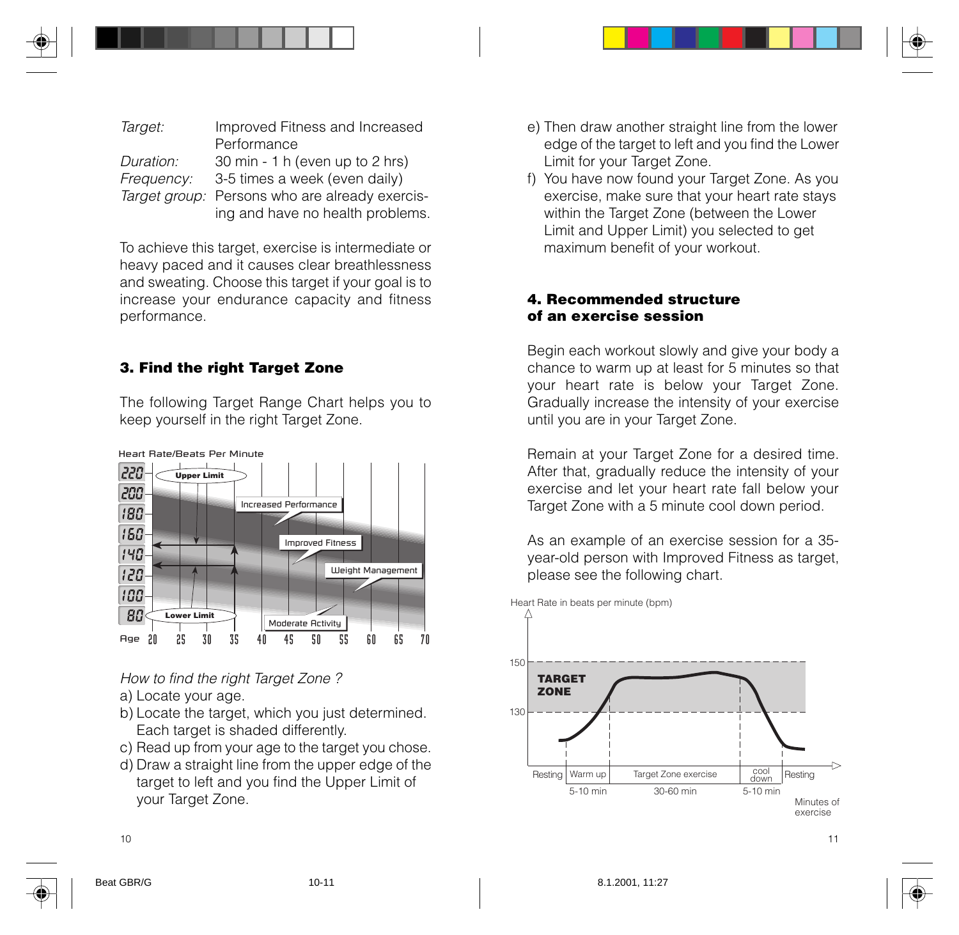| Target:    | Improved Fitness and Increased                 |
|------------|------------------------------------------------|
|            | Performance                                    |
| Duration:  | 30 min - 1 h (even up to 2 hrs)                |
| Frequency: | 3-5 times a week (even daily)                  |
|            | Target group: Persons who are already exercis- |
|            | ing and have no health problems.               |

To achieve this target, exercise is intermediate or heavy paced and it causes clear breathlessness and sweating. Choose this target if your goal is to increase your endurance capacity and fitness performance.

#### **3. Find the right Target Zone**

The following Target Range Chart helps you to keep yourself in the right Target Zone.



How to find the right Target Zone ? a) Locate your age.

- b) Locate the target, which you just determined. Each target is shaded differently.
- c) Read up from your age to the target you chose.
- d) Draw a straight line from the upper edge of the target to left and you find the Upper Limit of your Target Zone.
- e) Then draw another straight line from the lower edge of the target to left and you find the Lower Limit for your Target Zone.
- f) You have now found your Target Zone. As you exercise, make sure that your heart rate stays within the Target Zone (between the Lower Limit and Upper Limit) you selected to get maximum benefit of your workout.

#### **4. Recommended structure of an exercise session**

Begin each workout slowly and give your body a chance to warm up at least for 5 minutes so that your heart rate is below your Target Zone. Gradually increase the intensity of your exercise until you are in your Target Zone.

Remain at your Target Zone for a desired time. After that, gradually reduce the intensity of your exercise and let your heart rate fall below your Target Zone with a 5 minute cool down period.

As an example of an exercise session for a 35 year-old person with Improved Fitness as target, please see the following chart.





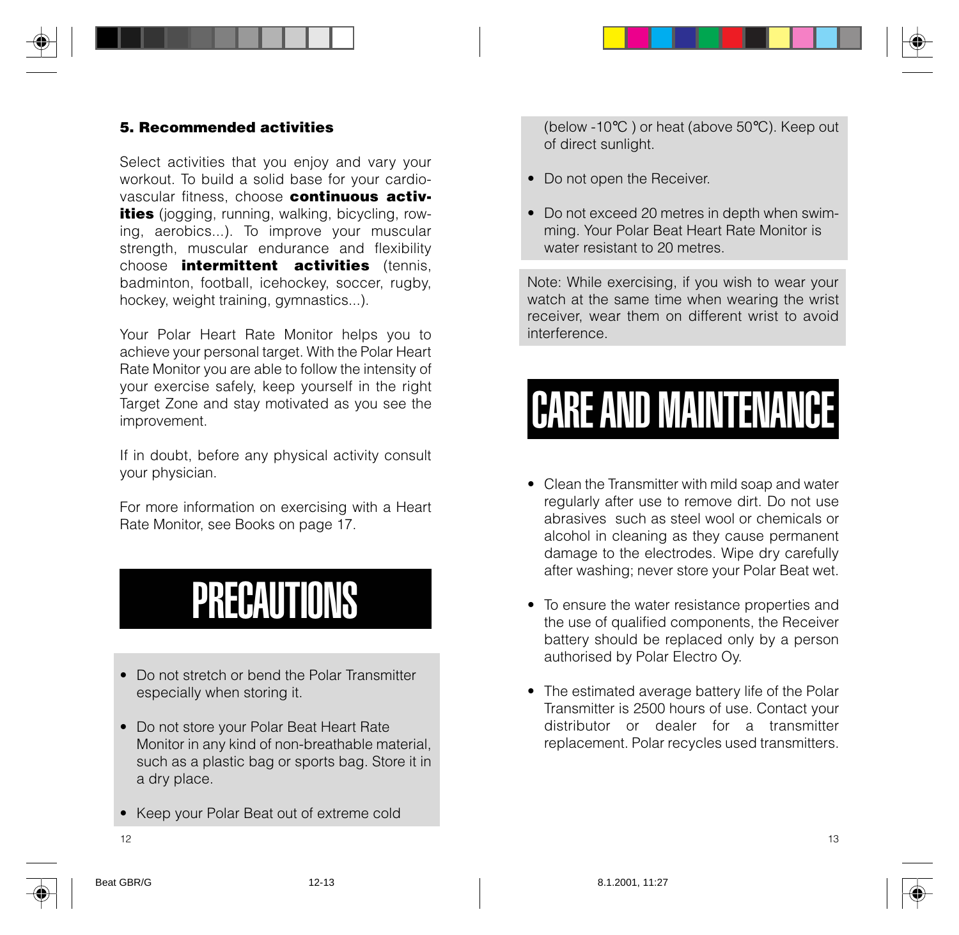#### **5. Recommended activities**

Select activities that you enjoy and vary your workout. To build a solid base for your cardiovascular fitness, choose **continuous activities** (jogging, running, walking, bicycling, rowing, aerobics...). To improve your muscular strength, muscular endurance and flexibility choose **intermittent activities** (tennis, badminton, football, icehockey, soccer, rugby, hockey, weight training, gymnastics...).

Your Polar Heart Rate Monitor helps you to achieve your personal target. With the Polar Heart Rate Monitor you are able to follow the intensity of your exercise safely, keep yourself in the right Target Zone and stay motivated as you see the improvement.

If in doubt, before any physical activity consult your physician.

For more information on exercising with a Heart Rate Monitor, see Books on page 17.

### PRECAUTIONS

- Do not stretch or bend the Polar Transmitter especially when storing it.
- Do not store your Polar Beat Heart Rate Monitor in any kind of non-breathable material, such as a plastic bag or sports bag. Store it in a dry place.
- Keep your Polar Beat out of extreme cold

(below -10°C ) or heat (above 50°C). Keep out of direct sunlight.

- Do not open the Receiver.
- Do not exceed 20 metres in depth when swimming. Your Polar Beat Heart Rate Monitor is water resistant to 20 metres.

Note: While exercising, if you wish to wear your watch at the same time when wearing the wrist receiver, wear them on different wrist to avoid interference.

# CARE AND MAINTENANCE

- Clean the Transmitter with mild soap and water regularly after use to remove dirt. Do not use abrasives such as steel wool or chemicals or alcohol in cleaning as they cause permanent damage to the electrodes. Wipe dry carefully after washing; never store your Polar Beat wet.
- To ensure the water resistance properties and the use of qualified components, the Receiver battery should be replaced only by a person authorised by Polar Electro Oy.
- The estimated average battery life of the Polar Transmitter is 2500 hours of use. Contact your distributor or dealer for a transmitter replacement. Polar recycles used transmitters.

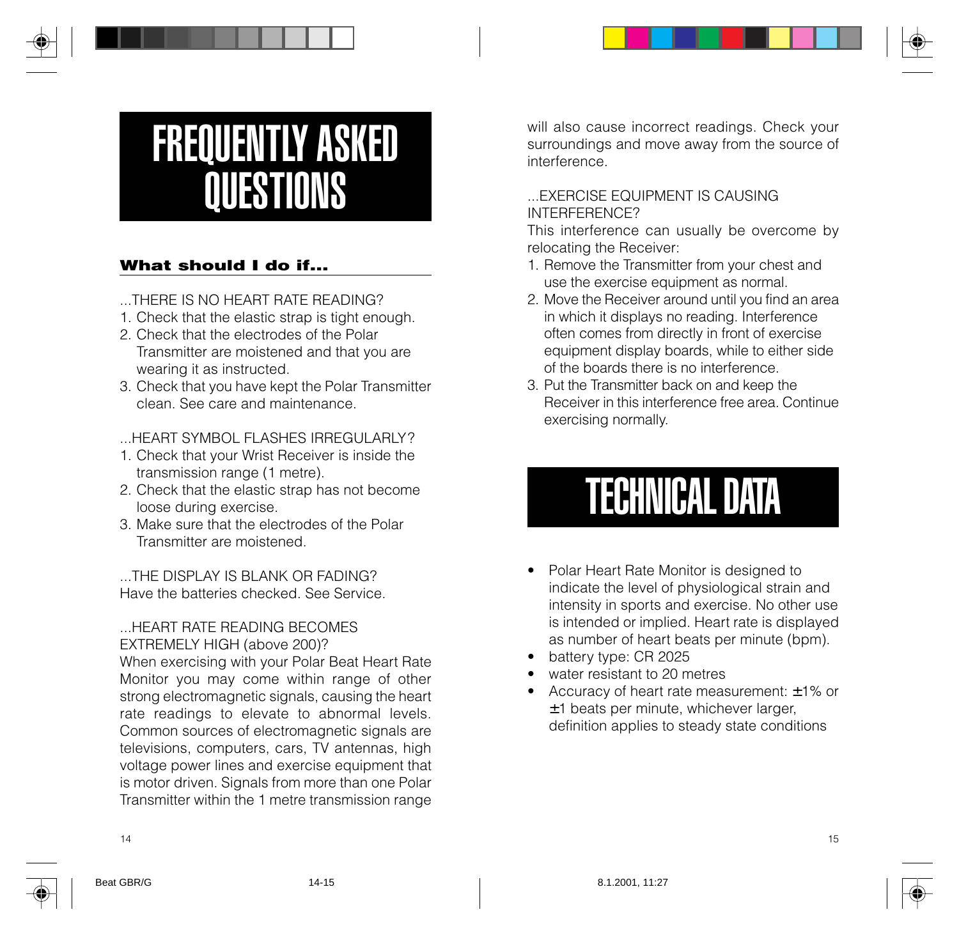# FREQUENTLY ASKED **QUESTIONS**

### **What should I do if...**

...THERE IS NO HEART RATE READING?

- 1. Check that the elastic strap is tight enough.
- 2. Check that the electrodes of the Polar Transmitter are moistened and that you are wearing it as instructed.
- 3. Check that you have kept the Polar Transmitter clean. See care and maintenance.

HEART SYMBOL FLASHES IRREGULARLY?

- 1. Check that your Wrist Receiver is inside the transmission range (1 metre).
- 2. Check that the elastic strap has not become loose during exercise.
- 3. Make sure that the electrodes of the Polar Transmitter are moistened.

THE DISPLAY IS BLANK OR FADING? Have the batteries checked. See Service.

#### ...HEART RATE READING BECOMES EXTREMELY HIGH (above 200)?

When exercising with your Polar Beat Heart Rate Monitor you may come within range of other strong electromagnetic signals, causing the heart rate readings to elevate to abnormal levels. Common sources of electromagnetic signals are televisions, computers, cars, TV antennas, high voltage power lines and exercise equipment that is motor driven. Signals from more than one Polar Transmitter within the 1 metre transmission range

will also cause incorrect readings. Check your surroundings and move away from the source of interference.

#### **EXERCISE FOUIPMENT IS CAUSING** INTERFERENCE?

This interference can usually be overcome by relocating the Receiver:

- 1. Remove the Transmitter from your chest and use the exercise equipment as normal.
- 2. Move the Receiver around until you find an area in which it displays no reading. Interference often comes from directly in front of exercise equipment display boards, while to either side of the boards there is no interference.
- 3. Put the Transmitter back on and keep the Receiver in this interference free area. Continue exercising normally.

# TECHNICAL DATA

- Polar Heart Rate Monitor is designed to indicate the level of physiological strain and intensity in sports and exercise. No other use is intended or implied. Heart rate is displayed as number of heart beats per minute (bpm).
- battery type: CR 2025
- water resistant to 20 metres
- Accuracy of heart rate measurement: ±1% or ±1 beats per minute, whichever larger, definition applies to steady state conditions

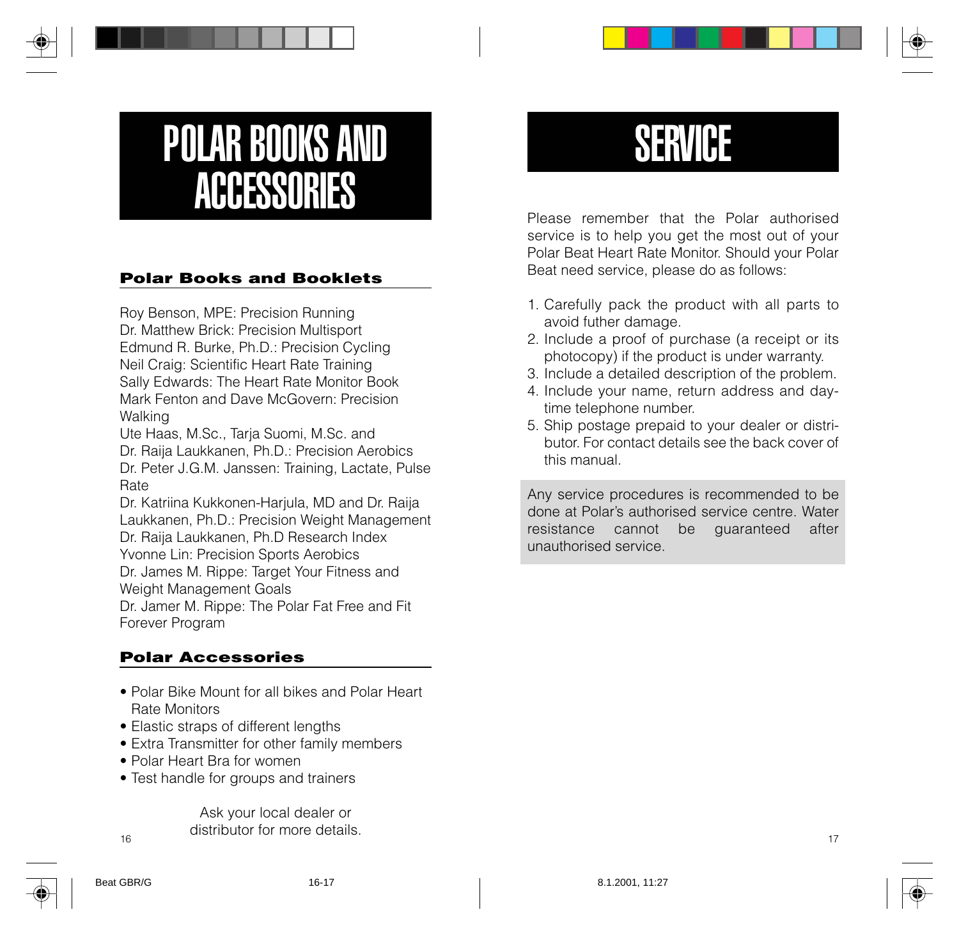## POLAR BOOKS AND **ACCESSORIES**

#### **Polar Books and Booklets**

Roy Benson, MPE: Precision Running Dr. Matthew Brick: Precision Multisport Edmund R. Burke, Ph.D.: Precision Cycling Neil Craig: Scientific Heart Rate Training Sally Edwards: The Heart Rate Monitor Book Mark Fenton and Dave McGovern: Precision Walking

Ute Haas, M.Sc., Tarja Suomi, M.Sc. and Dr. Raija Laukkanen, Ph.D.: Precision Aerobics Dr. Peter J.G.M. Janssen: Training, Lactate, Pulse Rate

Dr. Katriina Kukkonen-Harjula, MD and Dr. Raija Laukkanen, Ph.D.: Precision Weight Management Dr. Raija Laukkanen, Ph.D Research Index Yvonne Lin: Precision Sports Aerobics Dr. James M. Rippe: Target Your Fitness and Weight Management Goals Dr. Jamer M. Rippe: The Polar Fat Free and Fit Forever Program

### **Polar Accessories**

- Polar Bike Mount for all bikes and Polar Heart Rate Monitors
- Elastic straps of different lengths
- Extra Transmitter for other family members
- Polar Heart Bra for women
- Test handle for groups and trainers

 $\frac{16}{16}$  and  $\frac{17}{17}$ Ask your local dealer or distributor for more details.

### **SERVICE**

Please remember that the Polar authorised service is to help you get the most out of your Polar Beat Heart Rate Monitor. Should your Polar Beat need service, please do as follows:

- 1. Carefully pack the product with all parts to avoid futher damage.
- 2. Include a proof of purchase (a receipt or its photocopy) if the product is under warranty.
- 3. Include a detailed description of the problem.
- 4. Include your name, return address and daytime telephone number.
- 5. Ship postage prepaid to your dealer or distributor. For contact details see the back cover of this manual.

Any service procedures is recommended to be done at Polar's authorised service centre. Water resistance cannot be guaranteed after unauthorised service.

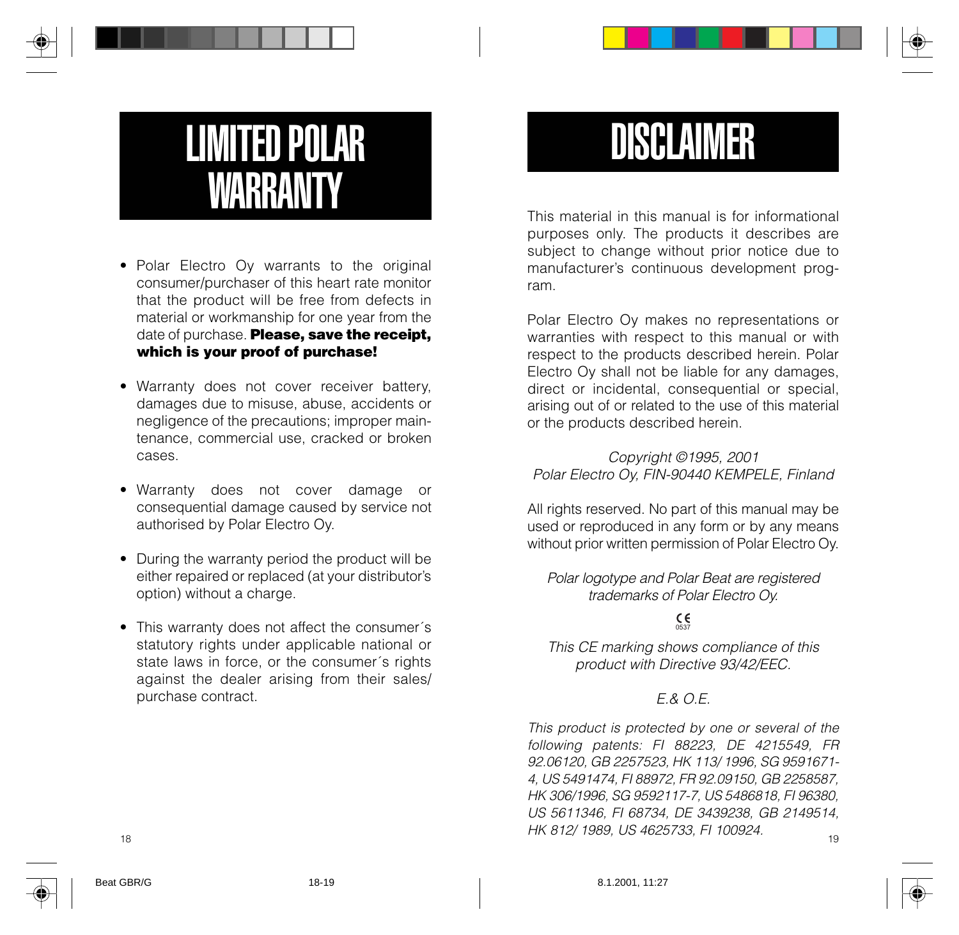## LIMITED POLAR WARRANTY

- Polar Electro Oy warrants to the original consumer/purchaser of this heart rate monitor that the product will be free from defects in material or workmanship for one year from the date of purchase. **Please, save the receipt, which is your proof of purchase!**
- Warranty does not cover receiver battery, damages due to misuse, abuse, accidents or negligence of the precautions; improper maintenance, commercial use, cracked or broken cases.
- Warranty does not cover damage or consequential damage caused by service not authorised by Polar Electro Oy.
- During the warranty period the product will be either repaired or replaced (at your distributor's option) without a charge.
- This warranty does not affect the consumer´s statutory rights under applicable national or state laws in force, or the consumer´s rights against the dealer arising from their sales/ purchase contract.

### DISCLAIMER

This material in this manual is for informational purposes only. The products it describes are subject to change without prior notice due to manufacturer's continuous development program.

Polar Electro Oy makes no representations or warranties with respect to this manual or with respect to the products described herein. Polar Electro Oy shall not be liable for any damages, direct or incidental, consequential or special, arising out of or related to the use of this material or the products described herein.

Copyright ©1995, 2001 Polar Electro Oy, FIN-90440 KEMPELE, Finland

All rights reserved. No part of this manual may be used or reproduced in any form or by any means without prior written permission of Polar Electro Oy.

Polar logotype and Polar Beat are registered trademarks of Polar Electro Oy.

### $C \in$

This CE marking shows compliance of this product with Directive 93/42/EEC.

#### $F \& O F$

 $\frac{18}{19}$  19 This product is protected by one or several of the following patents: FI 88223, DE 4215549, FR 92.06120, GB 2257523, HK 113/ 1996, SG 9591671- 4, US 5491474, FI 88972, FR 92.09150, GB 2258587, HK 306/1996, SG 9592117-7, US 5486818, FI 96380, US 5611346, FI 68734, DE 3439238, GB 2149514, HK 812/ 1989, US 4625733, FI 100924.